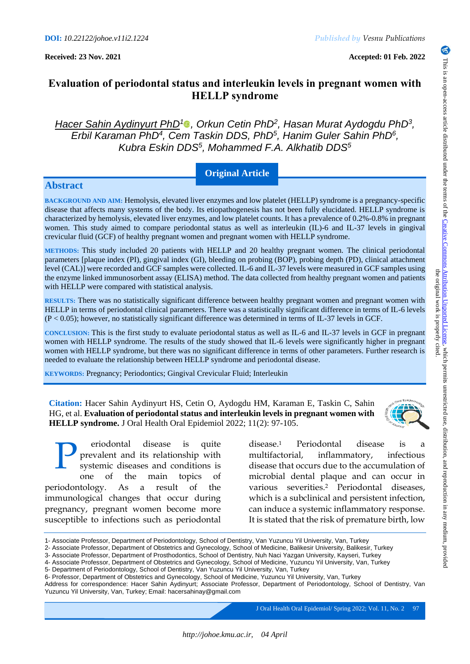**Received: 23 Nov. 2021 Accepted: 01 Feb. 2022**

# **Evaluation of periodontal status and interleukin levels in pregnant women with HELLP syndrome**

*Hacer Sahin Aydinyurt PhD<sup>1</sup><sup>0</sup></sub>, Orkun Cetin PhD<sup>2</sup>, Hasan Murat Aydogdu PhD<sup>3</sup>, Erbil Karaman PhD<sup>4</sup>, Cem Taskin DDS, PhD<sup>5</sup>, Hanim Guler Sahin PhD<sup>6</sup>, Kubra Eskin DDS<sup>5</sup> , Mohammed F.A. Alkhatib DDS<sup>5</sup>*

## **Original Article**

## **Abstract**

**BACKGROUND AND AIM:** Hemolysis, elevated liver enzymes and low platelet (HELLP) syndrome is a pregnancy-specific disease that affects many systems of the body. Its etiopathogenesis has not been fully elucidated. HELLP syndrome is characterized by hemolysis, elevated liver enzymes, and low platelet counts. It has a prevalence of 0.2%-0.8% in pregnant women. This study aimed to compare periodontal status as well as interleukin (IL)-6 and IL-37 levels in gingival crevicular fluid (GCF) of healthy pregnant women and pregnant women with HELLP syndrome.

**METHODS:** This study included 20 patients with HELLP and 20 healthy pregnant women. The clinical periodontal parameters [plaque index (PI), gingival index (GI), bleeding on probing (BOP), probing depth (PD), clinical attachment level (CAL)] were recorded and GCF samples were collected. IL-6 and IL-37 levels were measured in GCF samples using the enzyme linked immunosorbent assay (ELISA) method. The data collected from healthy pregnant women and patients with HELLP were compared with statistical analysis.

**RESULTS:** There was no statistically significant difference between healthy pregnant women and pregnant women with HELLP in terms of periodontal clinical parameters. There was a statistically significant difference in terms of IL-6 levels (P < 0.05); however, no statistically significant difference was determined in terms of IL-37 levels in GCF.

**CONCLUSION:** This is the first study to evaluate periodontal status as well as IL-6 and IL-37 levels in GCF in pregnant women with HELLP syndrome. The results of the study showed that IL-6 levels were significantly higher in pregnant women with HELLP syndrome, but there was no significant difference in terms of other parameters. Further research is needed to evaluate the relationship between HELLP syndrome and periodontal disease.

**KEYWORDS:** Pregnancy; Periodontics; Gingival Crevicular Fluid; Interleukin

**Citation:** Hacer Sahin Aydinyurt HS, Cetin O, Aydogdu HM, Karaman E, Taskin C, Sahin HG, et al. **Evaluation of periodontal status and interleukin levels in pregnant women with HELLP syndrome.** J Oral Health Oral Epidemiol 2022; 11(2): 97-105.

eriodontal disease is quite prevalent and its relationship with systemic diseases and conditions is one of the main topics of periodontology. As a result of the immunological changes that occur during pregnancy, pregnant women become more susceptible to infections such as periodontal P

disease.<sup>1</sup> Periodontal disease is a multifactorial, inflammatory, infectious disease that occurs due to the accumulation of microbial dental plaque and can occur in various severities.<sup>2</sup> Periodontal diseases, which is a subclinical and persistent infection, can induce a systemic inflammatory response. It is stated that the risk of premature birth, low

J Oral Health Oral Epidemiol/ Spring 2022; Vol. 11, No. 297



<sup>1-</sup> Associate Professor, Department of Periodontology, School of Dentistry, Van Yuzuncu Yil University, Van, Turkey

<sup>2-</sup> Associate Professor, Department of Obstetrics and Gynecology, School of Medicine, Balikesir University, Balikesir, Turkey

<sup>3-</sup> Associate Professor, Department of Prosthodontics, School of Dentistry, Nuh Naci Yazgan University, Kayseri, Turkey 4- Associate Professor, Department of Obstetrics and Gynecology, School of Medicine, Yuzuncu Yil University, Van, Turkey

<sup>5-</sup> Department of Periodontology, School of Dentistry, Van Yuzuncu Yil University, Van, Turkey

<sup>6-</sup> Professor, Department of Obstetrics and Gynecology, School of Medicine, Yuzuncu Yil University, Van, Turkey

Address for correspondence: Hacer Sahin Aydinyurt; Associate Professor, Department of Periodontology, School of Dentistry, Van Yuzuncu Yil University, Van, Turkey; Email: hacersahinay@gmail.com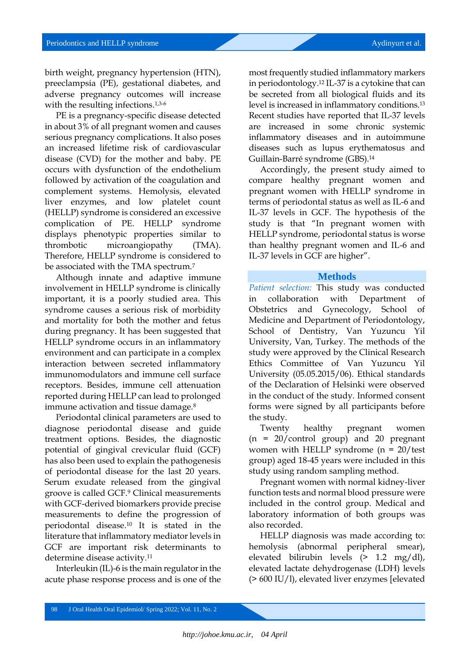birth weight, pregnancy hypertension (HTN), preeclampsia (PE), gestational diabetes, and adverse pregnancy outcomes will increase with the resulting infections.<sup>1,3-6</sup>

PE is a pregnancy-specific disease detected in about 3% of all pregnant women and causes serious pregnancy complications. It also poses an increased lifetime risk of cardiovascular disease (CVD) for the mother and baby. PE occurs with dysfunction of the endothelium followed by activation of the coagulation and complement systems. Hemolysis, elevated liver enzymes, and low platelet count (HELLP) syndrome is considered an excessive complication of PE. HELLP syndrome displays phenotypic properties similar to thrombotic microangiopathy (TMA). Therefore, HELLP syndrome is considered to be associated with the TMA spectrum.<sup>7</sup>

Although innate and adaptive immune involvement in HELLP syndrome is clinically important, it is a poorly studied area. This syndrome causes a serious risk of morbidity and mortality for both the mother and fetus during pregnancy. It has been suggested that HELLP syndrome occurs in an inflammatory environment and can participate in a complex interaction between secreted inflammatory immunomodulators and immune cell surface receptors. Besides, immune cell attenuation reported during HELLP can lead to prolonged immune activation and tissue damage.<sup>8</sup>

Periodontal clinical parameters are used to diagnose periodontal disease and guide treatment options. Besides, the diagnostic potential of gingival crevicular fluid (GCF) has also been used to explain the pathogenesis of periodontal disease for the last 20 years. Serum exudate released from the gingival groove is called GCF.<sup>9</sup> Clinical measurements with GCF-derived biomarkers provide precise measurements to define the progression of periodontal disease.<sup>10</sup> It is stated in the literature that inflammatory mediator levels in GCF are important risk determinants to determine disease activity.<sup>11</sup>

Interleukin (IL)-6 is the main regulator in the acute phase response process and is one of the

most frequently studied inflammatory markers in periodontology.<sup>12</sup> IL-37 is a cytokine that can be secreted from all biological fluids and its level is increased in inflammatory conditions.<sup>13</sup> Recent studies have reported that IL-37 levels are increased in some chronic systemic inflammatory diseases and in autoimmune diseases such as lupus erythematosus and Guillain-Barré syndrome (GBS). 14

Accordingly, the present study aimed to compare healthy pregnant women and pregnant women with HELLP syndrome in terms of periodontal status as well as IL-6 and IL-37 levels in GCF. The hypothesis of the study is that "In pregnant women with HELLP syndrome, periodontal status is worse than healthy pregnant women and IL-6 and IL-37 levels in GCF are higher".

#### **Methods**

*Patient selection:* This study was conducted in collaboration with Department of Obstetrics and Gynecology, School of Medicine and Department of Periodontology, School of Dentistry, Van Yuzuncu Yil University, Van, Turkey. The methods of the study were approved by the Clinical Research Ethics Committee of Van Yuzuncu Yil University (05.05.2015/06). Ethical standards of the Declaration of Helsinki were observed in the conduct of the study. Informed consent forms were signed by all participants before the study.

Twenty healthy pregnant women (n = 20/control group) and 20 pregnant women with HELLP syndrome  $(n = 20/\text{test})$ group) aged 18-45 years were included in this study using random sampling method.

Pregnant women with normal kidney-liver function tests and normal blood pressure were included in the control group. Medical and laboratory information of both groups was also recorded.

HELLP diagnosis was made according to: hemolysis (abnormal peripheral smear), elevated bilirubin levels (> 1.2 mg/dl), elevated lactate dehydrogenase (LDH) levels (> 600 IU/l), elevated liver enzymes [elevated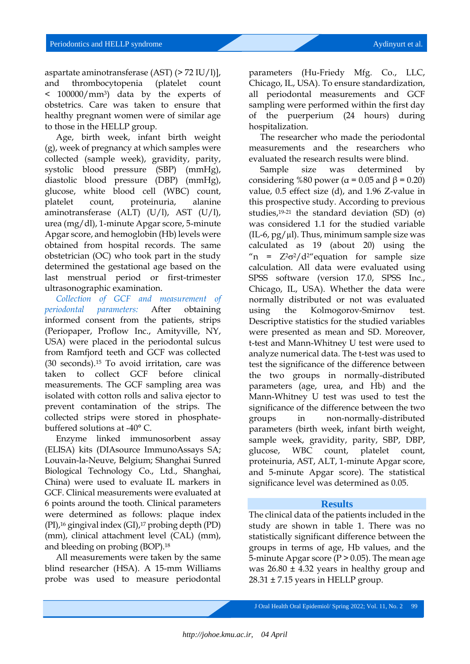aspartate aminotransferase (AST) (> 72 IU/l)], and thrombocytopenia (platelet count < 100000/mm3) data by the experts of obstetrics. Care was taken to ensure that healthy pregnant women were of similar age to those in the HELLP group.

Age, birth week, infant birth weight (g), week of pregnancy at which samples were collected (sample week), gravidity, parity, systolic blood pressure (SBP) (mmHg), diastolic blood pressure (DBP) (mmHg), glucose, white blood cell (WBC) count, platelet count, proteinuria, alanine aminotransferase (ALT) (U/l), AST (U/l), urea (mg/dl), 1-minute Apgar score, 5-minute Apgar score, and hemoglobin (Hb) levels were obtained from hospital records. The same obstetrician (OC) who took part in the study determined the gestational age based on the last menstrual period or first-trimester ultrasonographic examination.

*Collection of GCF and measurement of periodontal parameters:* After obtaining informed consent from the patients, strips (Periopaper, Proflow Inc., Amityville, NY, USA) were placed in the periodontal sulcus from Ramfjord teeth and GCF was collected (30 seconds).<sup>15</sup> To avoid irritation, care was taken to collect GCF before clinical measurements. The GCF sampling area was isolated with cotton rolls and saliva ejector to prevent contamination of the strips. The collected strips were stored in phosphatebuffered solutions at -40° C.

Enzyme linked immunosorbent assay (ELISA) kits (DIAsource ImmunoAssays SA; Louvain-la-Neuve, Belgium; Shanghai Sunred Biological Technology Co., Ltd., Shanghai, China) were used to evaluate IL markers in GCF. Clinical measurements were evaluated at 6 points around the tooth. Clinical parameters were determined as follows: plaque index (PI),<sup>16</sup> gingival index (GI),<sup>17</sup> probing depth (PD) (mm), clinical attachment level (CAL) (mm), and bleeding on probing (BOP).<sup>18</sup>

All measurements were taken by the same blind researcher (HSA). A 15-mm Williams probe was used to measure periodontal

parameters (Hu-Friedy Mfg. Co., LLC, Chicago, IL, USA). To ensure standardization, all periodontal measurements and GCF sampling were performed within the first day of the puerperium (24 hours) during hospitalization.

The researcher who made the periodontal measurements and the researchers who evaluated the research results were blind.

Sample size was determined by considering %80 power ( $\alpha$  = 0.05 and  $\beta$  = 0.20) value, 0.5 effect size (d), and 1.96 Z-value in this prospective study. According to previous studies,<sup>19-21</sup> the standard deviation (SD)  $(\sigma)$ was considered 1.1 for the studied variable  $(IL-6, pg/µl)$ . Thus, minimum sample size was calculated as 19 (about 20) using the "n =  $Z^2\sigma^2/d^2$ " equation for sample size calculation. All data were evaluated using SPSS software (version 17.0, SPSS Inc., Chicago, IL, USA). Whether the data were normally distributed or not was evaluated using the Kolmogorov-Smirnov test. Descriptive statistics for the studied variables were presented as mean and SD. Moreover, t-test and Mann-Whitney U test were used to analyze numerical data. The t-test was used to test the significance of the difference between the two groups in normally-distributed parameters (age, urea, and Hb) and the Mann-Whitney U test was used to test the significance of the difference between the two groups in non-normally-distributed parameters (birth week, infant birth weight, sample week, gravidity, parity, SBP, DBP, glucose, WBC count, platelet count, proteinuria, AST, ALT, 1-minute Apgar score, and 5-minute Apgar score). The statistical significance level was determined as 0.05.

#### **Results**

The clinical data of the patients included in the study are shown in table 1. There was no statistically significant difference between the groups in terms of age, Hb values, and the 5-minute Apgar score ( $P > 0.05$ ). The mean age was  $26.80 \pm 4.32$  years in healthy group and  $28.31 \pm 7.15$  years in HELLP group.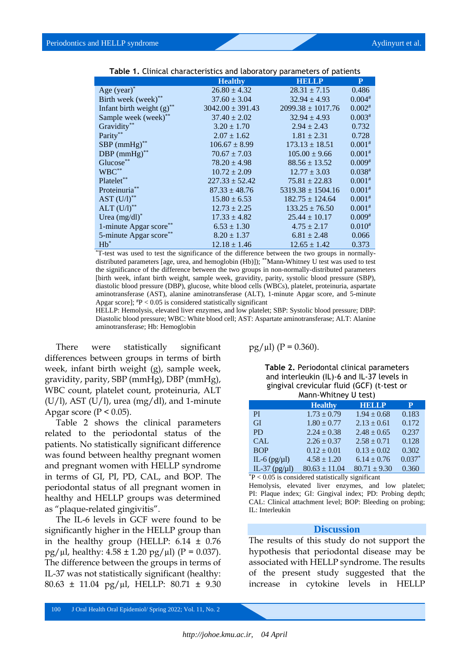| <b>Table 1: Chineat characteristics and taboratory parameters or patients</b> |                      |                       |             |  |  |
|-------------------------------------------------------------------------------|----------------------|-----------------------|-------------|--|--|
|                                                                               | <b>Healthy</b>       | <b>HELLP</b>          | P           |  |  |
| Age $(year)^*$                                                                | $26.80 \pm 4.32$     | $28.31 \pm 7.15$      | 0.486       |  |  |
| Birth week (week)**                                                           | $37.60 \pm 3.04$     | $32.94 \pm 4.93$      | $0.004*$    |  |  |
| Infant birth weight $(g)$ <sup>**</sup>                                       | $3042.00 \pm 391.43$ | $2099.38 \pm 1017.76$ | $0.002*$    |  |  |
| Sample week (week)**                                                          | $37.40 \pm 2.02$     | $32.94 \pm 4.93$      | $0.003*$    |  |  |
| Gravidity**                                                                   | $3.20 \pm 1.70$      | $2.94 \pm 2.43$       | 0.732       |  |  |
| Parity**                                                                      | $2.07 \pm 1.62$      | $1.81 \pm 2.31$       | 0.728       |  |  |
| $SBP$ (mmHg)**                                                                | $106.67 \pm 8.99$    | $173.13 \pm 18.51$    | $0.001*$    |  |  |
| DBP $(mmHg)$ **                                                               | $70.67 \pm 7.03$     | $105.00 \pm 9.66$     | $0.001*$    |  |  |
| Glucose**                                                                     | $78.20 \pm 4.98$     | $88.56 \pm 13.52$     | $0.009*$    |  |  |
| $WBC^{**}$                                                                    | $10.72 \pm 2.09$     | $12.77 \pm 3.03$      | $0.038^{*}$ |  |  |
| Platelet**                                                                    | $227.33 \pm 52.42$   | $75.81 \pm 22.83$     | $0.001*$    |  |  |
| Proteinuria**                                                                 | $87.33 \pm 48.76$    | $5319.38 \pm 1504.16$ | $0.001*$    |  |  |
| AST $(U/I)$ <sup>**</sup>                                                     | $15.80 \pm 6.53$     | $182.75 \pm 124.64$   | $0.001*$    |  |  |
| ALT $(U/I)$ <sup>**</sup>                                                     | $12.73 \pm 2.25$     | $133.25 \pm 76.50$    | $0.001*$    |  |  |
| Urea $(mg/dl)^*$                                                              | $17.33 \pm 4.82$     | $25.44 \pm 10.17$     | $0.009*$    |  |  |
| 1-minute Apgar score                                                          | $6.53 \pm 1.30$      | $4.75 \pm 2.17$       | $0.010^{#}$ |  |  |
| 5-minute Apgar score**                                                        | $8.20 \pm 1.37$      | $6.81 \pm 2.48$       | 0.066       |  |  |
| $Hb^*$                                                                        | $12.18 \pm 1.46$     | $12.65 \pm 1.42$      | 0.373       |  |  |

| Table 1. Clinical characteristics and laboratory parameters of patients |  |  |  |  |  |  |
|-------------------------------------------------------------------------|--|--|--|--|--|--|
|-------------------------------------------------------------------------|--|--|--|--|--|--|

\*T-test was used to test the significance of the difference between the two groups in normallydistributed parameters [age, urea, and hemoglobin (Hb)]); \*\*Mann-Whitney U test was used to test the significance of the difference between the two groups in non-normally-distributed parameters [birth week, infant birth weight, sample week, gravidity, parity, systolic blood pressure (SBP), diastolic blood pressure (DBP), glucose, white blood cells (WBCs), platelet, proteinuria, aspartate aminotransferase (AST), alanine aminotransferase (ALT), 1-minute Apgar score, and 5-minute Apgar score];  $P < 0.05$  is considered statistically significant

HELLP: Hemolysis, elevated liver enzymes, and low platelet; SBP: Systolic blood pressure; DBP: Diastolic blood pressure; WBC: White blood cell; AST: Aspartate aminotransferase; ALT: Alanine aminotransferase; Hb: Hemoglobin

There were statistically significant differences between groups in terms of birth week, infant birth weight (g), sample week, gravidity, parity, SBP (mmHg), DBP (mmHg), WBC count, platelet count, proteinuria, ALT  $(U/1)$ , AST  $(U/1)$ , urea  $(mg/dl)$ , and 1-minute Apgar score ( $P < 0.05$ ).

Table 2 shows the clinical parameters related to the periodontal status of the patients. No statistically significant difference was found between healthy pregnant women and pregnant women with HELLP syndrome in terms of GI, PI, PD, CAL, and BOP. The periodontal status of all pregnant women in healthy and HELLP groups was determined as "plaque-related gingivitis".

The IL-6 levels in GCF were found to be significantly higher in the HELLP group than in the healthy group (HELLP:  $6.14 \pm 0.76$  $pg/µl$ , healthy:  $4.58 \pm 1.20$  pg/ $µl$ ) (P = 0.037). The difference between the groups in terms of IL-37 was not statistically significant (healthy: 80.63 ± 11.04 pg/µl, HELLP: 80.71 ± 9.30  $pg/µl)$  (P = 0.360).

**Table 2.** Periodontal clinical parameters and interleukin (IL)-6 and IL-37 levels in gingival crevicular fluid (GCF) (t-test or Mann-Whitney U test)

|                   | <b>Healthy</b>    | <b>HELLP</b>     | P        |  |  |  |
|-------------------|-------------------|------------------|----------|--|--|--|
| <b>PI</b>         | $1.73 \pm 0.79$   | $1.94 \pm 0.68$  | 0.183    |  |  |  |
| <b>GI</b>         | $1.80 \pm 0.77$   | $2.13 \pm 0.61$  | 0.172    |  |  |  |
| <b>PD</b>         | $2.24 \pm 0.38$   | $2.48 \pm 0.65$  | 0.237    |  |  |  |
| <b>CAL</b>        | $2.26 \pm 0.37$   | $2.58 \pm 0.71$  | 0.128    |  |  |  |
| <b>BOP</b>        | $0.12 \pm 0.01$   | $0.13 \pm 0.02$  | 0.302    |  |  |  |
| IL-6 $(pg/\mu l)$ | $4.58 \pm 1.20$   | $6.14 \pm 0.76$  | $0.037*$ |  |  |  |
| IL-37 ( $pg/µl$ ) | $80.63 \pm 11.04$ | $80.71 \pm 9.30$ | 0.360    |  |  |  |
|                   |                   |                  |          |  |  |  |

 $P < 0.05$  is considered statistically significant

Hemolysis, elevated liver enzymes, and low platelet; PI: Plaque index; GI: Gingival index; PD: Probing depth; CAL: Clinical attachment level; BOP: Bleeding on probing; IL: Interleukin

#### **Discussion**

The results of this study do not support the hypothesis that periodontal disease may be associated with HELLP syndrome. The results of the present study suggested that the increase in cytokine levels in HELLP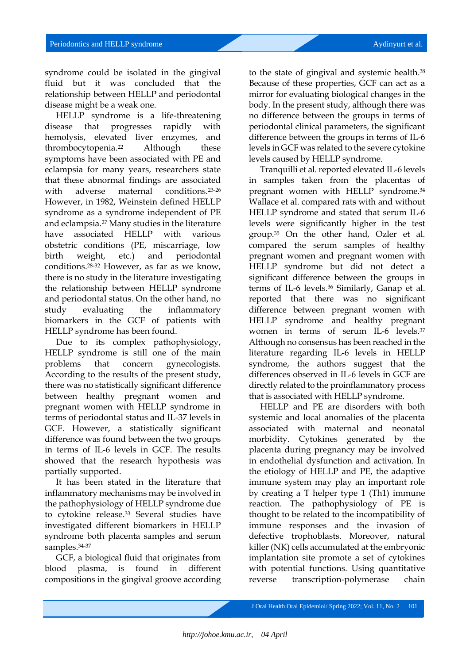syndrome could be isolated in the gingival fluid but it was concluded that the relationship between HELLP and periodontal disease might be a weak one.

HELLP syndrome is a life-threatening disease that progresses rapidly with hemolysis, elevated liver enzymes, and thrombocytopenia.<sup>22</sup> Although these symptoms have been associated with PE and eclampsia for many years, researchers state that these abnormal findings are associated with adverse maternal conditions.<sup>23-26</sup> However, in 1982, Weinstein defined HELLP syndrome as a syndrome independent of PE and eclampsia.<sup>27</sup> Many studies in the literature have associated HELLP with various obstetric conditions (PE, miscarriage, low birth weight, etc.) and periodontal conditions.28-32 However, as far as we know, there is no study in the literature investigating the relationship between HELLP syndrome and periodontal status. On the other hand, no study evaluating the inflammatory biomarkers in the GCF of patients with HELLP syndrome has been found.

Due to its complex pathophysiology, HELLP syndrome is still one of the main problems that concern gynecologists. According to the results of the present study, there was no statistically significant difference between healthy pregnant women and pregnant women with HELLP syndrome in terms of periodontal status and IL-37 levels in GCF. However, a statistically significant difference was found between the two groups in terms of IL-6 levels in GCF. The results showed that the research hypothesis was partially supported.

It has been stated in the literature that inflammatory mechanisms may be involved in the pathophysiology of HELLP syndrome due to cytokine release.<sup>33</sup> Several studies have investigated different biomarkers in HELLP syndrome both placenta samples and serum samples. 34-37

GCF, a biological fluid that originates from blood plasma, is found in different compositions in the gingival groove according

to the state of gingival and systemic health.<sup>38</sup> Because of these properties, GCF can act as a mirror for evaluating biological changes in the body. In the present study, although there was no difference between the groups in terms of periodontal clinical parameters, the significant difference between the groups in terms of IL-6 levels in GCF was related to the severe cytokine levels caused by HELLP syndrome.

Tranquilli et al. reported elevated IL-6 levels in samples taken from the placentas of pregnant women with HELLP syndrome. 34 Wallace et al. compared rats with and without HELLP syndrome and stated that serum IL-6 levels were significantly higher in the test group.<sup>35</sup> On the other hand, Ozler et al. compared the serum samples of healthy pregnant women and pregnant women with HELLP syndrome but did not detect a significant difference between the groups in terms of IL-6 levels.<sup>36</sup> Similarly, Ganap et al. reported that there was no significant difference between pregnant women with HELLP syndrome and healthy pregnant women in terms of serum IL-6 levels.<sup>37</sup> Although no consensus has been reached in the literature regarding IL-6 levels in HELLP syndrome, the authors suggest that the differences observed in IL-6 levels in GCF are directly related to the proinflammatory process that is associated with HELLP syndrome.

HELLP and PE are disorders with both systemic and local anomalies of the placenta associated with maternal and neonatal morbidity. Cytokines generated by the placenta during pregnancy may be involved in endothelial dysfunction and activation. In the etiology of HELLP and PE, the adaptive immune system may play an important role by creating a T helper type 1 (Th1) immune reaction. The pathophysiology of PE is thought to be related to the incompatibility of immune responses and the invasion of defective trophoblasts. Moreover, natural killer (NK) cells accumulated at the embryonic implantation site promote a set of cytokines with potential functions. Using quantitative reverse transcription-polymerase chain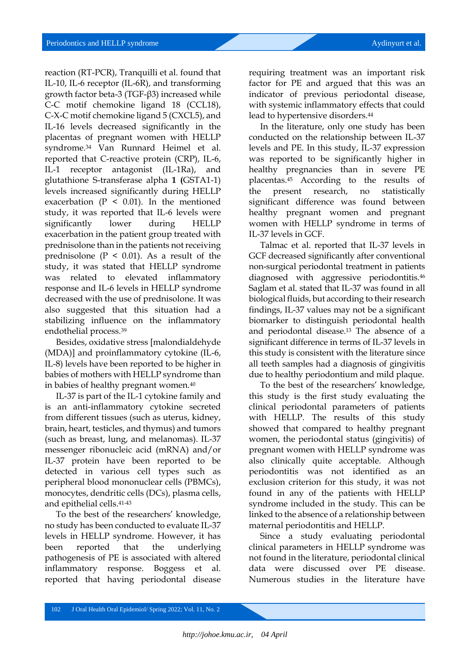reaction (RT-PCR), Tranquilli et al. found that IL-10, IL-6 receptor (IL-6R), and transforming growth factor beta-3 (TGF-β3) increased while C-C motif chemokine ligand 18 (CCL18), C-X-C motif chemokine ligand 5 (CXCL5), and IL-16 levels decreased significantly in the placentas of pregnant women with HELLP syndrome.<sup>34</sup> Van Runnard Heimel et al. reported that C-reactive protein (CRP), IL-6, IL-1 receptor antagonist (IL-1Ra), and glutathione S-transferase alpha **1 (**GSTA1-1) levels increased significantly during HELLP exacerbation ( $P < 0.01$ ). In the mentioned study, it was reported that IL-6 levels were significantly lower during HELLP exacerbation in the patient group treated with prednisolone than in the patients not receiving prednisolone ( $P \leq 0.01$ ). As a result of the study, it was stated that HELLP syndrome was related to elevated inflammatory response and IL-6 levels in HELLP syndrome decreased with the use of prednisolone. It was also suggested that this situation had a stabilizing influence on the inflammatory endothelial process.<sup>39</sup>

Besides, oxidative stress [malondialdehyde (MDA)] and proinflammatory cytokine (IL-6, IL-8) levels have been reported to be higher in babies of mothers with HELLP syndrome than in babies of healthy pregnant women.<sup>40</sup>

IL-37 is part of the IL-1 cytokine family and is an anti-inflammatory cytokine secreted from different tissues (such as uterus, kidney, brain, heart, testicles, and thymus) and tumors (such as breast, lung, and melanomas). IL-37 messenger ribonucleic acid (mRNA) and/or IL-37 protein have been reported to be detected in various cell types such as peripheral blood mononuclear cells (PBMCs), monocytes, dendritic cells (DCs), plasma cells, and epithelial cells.41-43

To the best of the researchers' knowledge, no study has been conducted to evaluate IL-37 levels in HELLP syndrome. However, it has been reported that the underlying pathogenesis of PE is associated with altered inflammatory response. Boggess et al. reported that having periodontal disease

requiring treatment was an important risk factor for PE and argued that this was an indicator of previous periodontal disease, with systemic inflammatory effects that could lead to hypertensive disorders.<sup>44</sup>

In the literature, only one study has been conducted on the relationship between IL-37 levels and PE. In this study, IL-37 expression was reported to be significantly higher in healthy pregnancies than in severe PE placentas.<sup>45</sup> According to the results of the present research, no statistically significant difference was found between healthy pregnant women and pregnant women with HELLP syndrome in terms of IL-37 levels in GCF.

Talmac et al. reported that IL-37 levels in GCF decreased significantly after conventional non-surgical periodontal treatment in patients diagnosed with aggressive periodontitis.<sup>46</sup> Saglam et al. stated that IL-37 was found in all biological fluids, but according to their research findings, IL-37 values may not be a significant biomarker to distinguish periodontal health and periodontal disease.<sup>13</sup> The absence of a significant difference in terms of IL-37 levels in this study is consistent with the literature since all teeth samples had a diagnosis of gingivitis due to healthy periodontium and mild plaque.

To the best of the researchers' knowledge, this study is the first study evaluating the clinical periodontal parameters of patients with HELLP. The results of this study showed that compared to healthy pregnant women, the periodontal status (gingivitis) of pregnant women with HELLP syndrome was also clinically quite acceptable. Although periodontitis was not identified as an exclusion criterion for this study, it was not found in any of the patients with HELLP syndrome included in the study. This can be linked to the absence of a relationship between maternal periodontitis and HELLP.

Since a study evaluating periodontal clinical parameters in HELLP syndrome was not found in the literature, periodontal clinical data were discussed over PE disease. Numerous studies in the literature have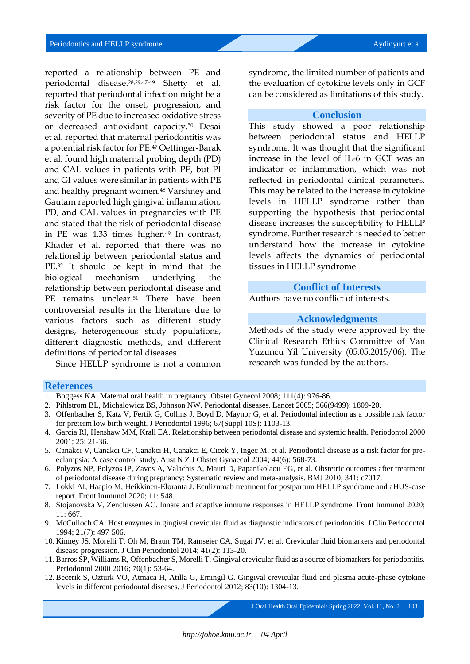reported a relationship between PE and periodontal disease.28,29,47-49 Shetty et al. reported that periodontal infection might be a risk factor for the onset, progression, and severity of PE due to increased oxidative stress or decreased antioxidant capacity.<sup>50</sup> Desai et al. reported that maternal periodontitis was a potential risk factor for PE. <sup>47</sup> Oettinger-Barak et al. found high maternal probing depth (PD) and CAL values in patients with PE, but PI and GI values were similar in patients with PE and healthy pregnant women.<sup>48</sup> Varshney and Gautam reported high gingival inflammation, PD, and CAL values in pregnancies with PE and stated that the risk of periodontal disease in PE was 4.33 times higher.<sup>49</sup> In contrast, Khader et al. reported that there was no relationship between periodontal status and PE. <sup>32</sup> It should be kept in mind that the biological mechanism underlying the relationship between periodontal disease and PE remains unclear.<sup>51</sup> There have been controversial results in the literature due to various factors such as different study designs, heterogeneous study populations, different diagnostic methods, and different definitions of periodontal diseases.

Since HELLP syndrome is not a common

syndrome, the limited number of patients and the evaluation of cytokine levels only in GCF can be considered as limitations of this study.

#### **Conclusion**

This study showed a poor relationship between periodontal status and HELLP syndrome. It was thought that the significant increase in the level of IL-6 in GCF was an indicator of inflammation, which was not reflected in periodontal clinical parameters. This may be related to the increase in cytokine levels in HELLP syndrome rather than supporting the hypothesis that periodontal disease increases the susceptibility to HELLP syndrome. Further research is needed to better understand how the increase in cytokine levels affects the dynamics of periodontal tissues in HELLP syndrome.

#### **Conflict of Interests**

Authors have no conflict of interests.

### **Acknowledgments**

Methods of the study were approved by the Clinical Research Ethics Committee of Van Yuzuncu Yil University (05.05.2015/06). The research was funded by the authors.

#### **References**

- 1. Boggess KA. Maternal oral health in pregnancy. Obstet Gynecol 2008; 111(4): 976-86.
- 2. Pihlstrom BL, Michalowicz BS, Johnson NW. Periodontal diseases. Lancet 2005; 366(9499): 1809-20.
- 3. Offenbacher S, Katz V, Fertik G, Collins J, Boyd D, Maynor G, et al. Periodontal infection as a possible risk factor for preterm low birth weight. J Periodontol 1996; 67(Suppl 10S): 1103-13.
- 4. Garcia RI, Henshaw MM, Krall EA. Relationship between periodontal disease and systemic health. Periodontol 2000 2001; 25: 21-36.
- 5. Canakci V, Canakci CF, Canakci H, Canakci E, Cicek Y, Ingec M, et al. Periodontal disease as a risk factor for preeclampsia: A case control study. Aust N Z J Obstet Gynaecol 2004; 44(6): 568-73.
- 6. Polyzos NP, Polyzos IP, Zavos A, Valachis A, Mauri D, Papanikolaou EG, et al. Obstetric outcomes after treatment of periodontal disease during pregnancy: Systematic review and meta-analysis. BMJ 2010; 341: c7017.
- 7. Lokki AI, Haapio M, Heikkinen-Eloranta J. Eculizumab treatment for postpartum HELLP syndrome and aHUS-case report. Front Immunol 2020; 11: 548.
- 8. Stojanovska V, Zenclussen AC. Innate and adaptive immune responses in HELLP syndrome. Front Immunol 2020; 11: 667.
- 9. McCulloch CA. Host enzymes in gingival crevicular fluid as diagnostic indicators of periodontitis. J Clin Periodontol 1994; 21(7): 497-506.
- 10. Kinney JS, Morelli T, Oh M, Braun TM, Ramseier CA, Sugai JV, et al. Crevicular fluid biomarkers and periodontal disease progression. J Clin Periodontol 2014; 41(2): 113-20.
- 11. Barros SP, Williams R, Offenbacher S, Morelli T. Gingival crevicular fluid as a source of biomarkers for periodontitis. Periodontol 2000 2016; 70(1): 53-64.
- 12. Becerik S, Ozturk VO, Atmaca H, Atilla G, Emingil G. Gingival crevicular fluid and plasma acute-phase cytokine levels in different periodontal diseases. J Periodontol 2012; 83(10): 1304-13.

J Oral Health Oral Epidemiol/ Spring 2022; Vol. 11, No. 2103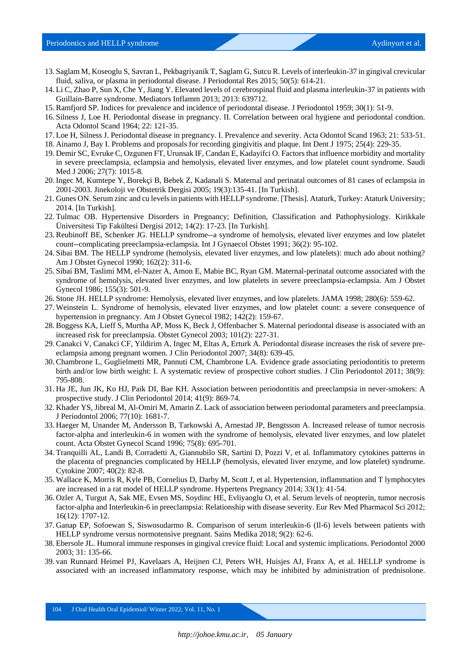- 13. Saglam M, Koseoglu S, Savran L, Pekbagriyanik T, Saglam G, Sutcu R. Levels of interleukin-37 in gingival crevicular fluid, saliva, or plasma in periodontal disease. J Periodontal Res 2015; 50(5): 614-21.
- 14. Li C, Zhao P, Sun X, Che Y, Jiang Y. Elevated levels of cerebrospinal fluid and plasma interleukin-37 in patients with Guillain-Barre syndrome. Mediators Inflamm 2013; 2013: 639712.
- 15. Ramfjord SP. Indices for prevalence and incidence of periodontal disease. J Periodontol 1959; 30(1): 51-9.
- 16. Silness J, Loe H. Periodontal disease in pregnancy. II. Correlation between oral hygiene and periodontal condtion. Acta Odontol Scand 1964; 22: 121-35.
- 17. Loe H, Silness J. Periodontal disease in pregnancy. I. Prevalence and severity. Acta Odontol Scand 1963; 21: 533-51.
- 18. Ainamo J, Bay I. Problems and proposals for recording gingivitis and plaque. Int Dent J 1975; 25(4): 229-35.
- 19. Demir SC, Evruke C, Ozgunen FT, Urunsak IF, Candan E, Kadayifci O. Factors that influence morbidity and mortality in severe preeclampsia, eclampsia and hemolysis, elevated liver enzymes, and low platelet count syndrome. Saudi Med J 2006; 27(7): 1015-8.
- 20. Ingec M, Kumtepe Y, Borekçi B, Bebek Z, Kadanali S. Maternal and perinatal outcomes of 81 cases of eclampsia in 2001-2003. Jinekoloji ve Obstetrik Dergisi 2005; 19(3):135-41. [In Turkish].
- 21. Gunes ON. Serum zinc and cu levels in patients with HELLP syndrome. [Thesis]. Ataturk, Turkey: Ataturk University; 2014. [In Turkish].
- 22. Tulmac OB. Hypertensive Disorders in Pregnancy; Definition, Classification and Pathophysiology. Kirikkale Üniversitesi Tip Fakültesi Dergisi 2012; 14(2): 17-23. [In Turkish].
- 23. Reubinoff BE, Schenker JG. HELLP syndrome--a syndrome of hemolysis, elevated liver enzymes and low platelet count--complicating preeclampsia-eclampsia. Int J Gynaecol Obstet 1991; 36(2): 95-102.
- 24. Sibai BM. The HELLP syndrome (hemolysis, elevated liver enzymes, and low platelets): much ado about nothing? Am J Obstet Gynecol 1990; 162(2): 311-6.
- 25. Sibai BM, Taslimi MM, el-Nazer A, Amon E, Mabie BC, Ryan GM. Maternal-perinatal outcome associated with the syndrome of hemolysis, elevated liver enzymes, and low platelets in severe preeclampsia-eclampsia. Am J Obstet Gynecol 1986; 155(3): 501-9.
- 26. Stone JH. HELLP syndrome: Hemolysis, elevated liver enzymes, and low platelets. JAMA 1998; 280(6): 559-62.
- 27. Weinstein L. Syndrome of hemolysis, elevated liver enzymes, and low platelet count: a severe consequence of hypertension in pregnancy. Am J Obstet Gynecol 1982; 142(2): 159-67.
- 28. Boggess KA, Lieff S, Murtha AP, Moss K, Beck J, Offenbacher S. Maternal periodontal disease is associated with an increased risk for preeclampsia. Obstet Gynecol 2003; 101(2): 227-31.
- 29. Canakci V, Canakci CF, Yildirim A, Ingec M, Eltas A, Erturk A. Periodontal disease increases the risk of severe preeclampsia among pregnant women. J Clin Periodontol 2007; 34(8): 639-45.
- 30. Chambrone L, Guglielmetti MR, Pannuti CM, Chambrone LA. Evidence grade associating periodontitis to preterm birth and/or low birth weight: I. A systematic review of prospective cohort studies. J Clin Periodontol 2011; 38(9): 795-808.
- 31. Ha JE, Jun JK, Ko HJ, Paik DI, Bae KH. Association between periodontitis and preeclampsia in never-smokers: A prospective study. J Clin Periodontol 2014; 41(9): 869-74.
- 32. Khader YS, Jibreal M, Al-Omiri M, Amarin Z. Lack of association between periodontal parameters and preeclampsia. J Periodontol 2006; 77(10): 1681-7.
- 33. Haeger M, Unander M, Andersson B, Tarkowski A, Arnestad JP, Bengtsson A. Increased release of tumor necrosis factor-alpha and interleukin-6 in women with the syndrome of hemolysis, elevated liver enzymes, and low platelet count. Acta Obstet Gynecol Scand 1996; 75(8): 695-701.
- 34. Tranquilli AL, Landi B, Corradetti A, Giannubilo SR, Sartini D, Pozzi V, et al. Inflammatory cytokines patterns in the placenta of pregnancies complicated by HELLP (hemolysis, elevated liver enzyme, and low platelet) syndrome. Cytokine 2007; 40(2): 82-8.
- 35. Wallace K, Morris R, Kyle PB, Cornelius D, Darby M, Scott J, et al. Hypertension, inflammation and T lymphocytes are increased in a rat model of HELLP syndrome. Hypertens Pregnancy 2014; 33(1): 41-54.
- 36. Ozler A, Turgut A, Sak ME, Evsen MS, Soydinc HE, Evliyaoglu O, et al. Serum levels of neopterin, tumor necrosis factor-alpha and Interleukin-6 in preeclampsia: Relationship with disease severity. Eur Rev Med Pharmacol Sci 2012; 16(12): 1707-12.
- 37. Ganap EP, Sofoewan S, Siswosudarmo R. Comparison of serum interleukin-6 (Il-6) levels between patients with HELLP syndrome versus normotensive pregnant. Sains Medika 2018; 9(2): 62-6.
- 38. Ebersole JL. Humoral immune responses in gingival crevice fluid: Local and systemic implications. Periodontol 2000 2003; 31: 135-66.
- 39. van Runnard Heimel PJ, Kavelaars A, Heijnen CJ, Peters WH, Huisjes AJ, Franx A, et al. HELLP syndrome is associated with an increased inflammatory response, which may be inhibited by administration of prednisolone.